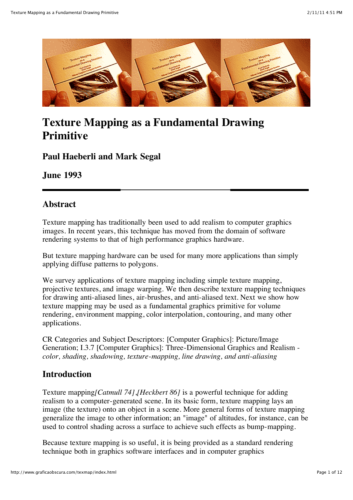

# **Texture Mapping as a Fundamental Drawing Primitive**

### **Paul Haeberli and Mark Segal**

**June 1993**

#### **Abstract**

Texture mapping has traditionally been used to add realism to computer graphics images. In recent years, this technique has moved from the domain of software rendering systems to that of high performance graphics hardware.

But texture mapping hardware can be used for many more applications than simply applying diffuse patterns to polygons.

We survey applications of texture mapping including simple texture mapping, projective textures, and image warping. We then describe texture mapping techniques for drawing anti-aliased lines, air-brushes, and anti-aliased text. Next we show how texture mapping may be used as a fundamental graphics primitive for volume rendering, environment mapping, color interpolation, contouring, and many other applications.

CR Categories and Subject Descriptors: [Computer Graphics]: Picture/Image Generation; I.3.7 [Computer Graphics]: Three-Dimensional Graphics and Realism *color, shading, shadowing, texture-mapping, line drawing, and anti-aliasing*

### **Introduction**

Texture mapping*[Catmull 74]*,*[Heckbert 86]* is a powerful technique for adding realism to a computer-generated scene. In its basic form, texture mapping lays an image (the texture) onto an object in a scene. More general forms of texture mapping generalize the image to other information; an "image" of altitudes, for instance, can be used to control shading across a surface to achieve such effects as bump-mapping.

Because texture mapping is so useful, it is being provided as a standard rendering technique both in graphics software interfaces and in computer graphics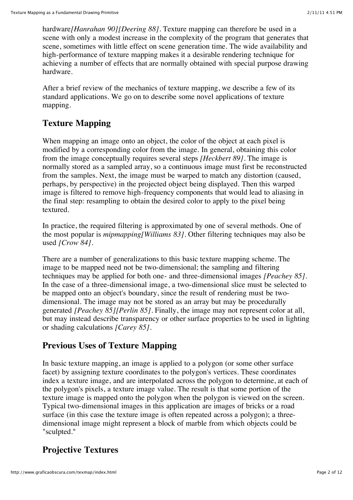hardware*[Hanrahan 90][Deering 88]*. Texture mapping can therefore be used in a scene with only a modest increase in the complexity of the program that generates that scene, sometimes with little effect on scene generation time. The wide availability and high-performance of texture mapping makes it a desirable rendering technique for achieving a number of effects that are normally obtained with special purpose drawing hardware.

After a brief review of the mechanics of texture mapping, we describe a few of its standard applications. We go on to describe some novel applications of texture mapping.

## **Texture Mapping**

When mapping an image onto an object, the color of the object at each pixel is modified by a corresponding color from the image. In general, obtaining this color from the image conceptually requires several steps *[Heckbert 89]*. The image is normally stored as a sampled array, so a continuous image must first be reconstructed from the samples. Next, the image must be warped to match any distortion (caused, perhaps, by perspective) in the projected object being displayed. Then this warped image is filtered to remove high-frequency components that would lead to aliasing in the final step: resampling to obtain the desired color to apply to the pixel being textured.

In practice, the required filtering is approximated by one of several methods. One of the most popular is *mipmapping[Williams 83]*. Other filtering techniques may also be used *[Crow 84]*.

There are a number of generalizations to this basic texture mapping scheme. The image to be mapped need not be two-dimensional; the sampling and filtering techniques may be applied for both one- and three-dimensional images *[Peachey 85]*. In the case of a three-dimensional image, a two-dimensional slice must be selected to be mapped onto an object's boundary, since the result of rendering must be twodimensional. The image may not be stored as an array but may be procedurally generated *[Peachey 85][Perlin 85]*. Finally, the image may not represent color at all, but may instead describe transparency or other surface properties to be used in lighting or shading calculations *[Carey 85]*.

## **Previous Uses of Texture Mapping**

In basic texture mapping, an image is applied to a polygon (or some other surface facet) by assigning texture coordinates to the polygon's vertices. These coordinates index a texture image, and are interpolated across the polygon to determine, at each of the polygon's pixels, a texture image value. The result is that some portion of the texture image is mapped onto the polygon when the polygon is viewed on the screen. Typical two-dimensional images in this application are images of bricks or a road surface (in this case the texture image is often repeated across a polygon); a threedimensional image might represent a block of marble from which objects could be "sculpted."

# **Projective Textures**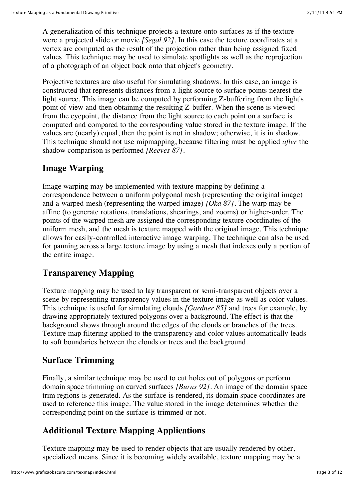A generalization of this technique projects a texture onto surfaces as if the texture were a projected slide or movie *[Segal 92]*. In this case the texture coordinates at a vertex are computed as the result of the projection rather than being assigned fixed values. This technique may be used to simulate spotlights as well as the reprojection of a photograph of an object back onto that object's geometry.

Projective textures are also useful for simulating shadows. In this case, an image is constructed that represents distances from a light source to surface points nearest the light source. This image can be computed by performing Z-buffering from the light's point of view and then obtaining the resulting Z-buffer. When the scene is viewed from the eyepoint, the distance from the light source to each point on a surface is computed and compared to the corresponding value stored in the texture image. If the values are (nearly) equal, then the point is not in shadow; otherwise, it is in shadow. This technique should not use mipmapping, because filtering must be applied *after* the shadow comparison is performed *[Reeves 87]*.

#### **Image Warping**

Image warping may be implemented with texture mapping by defining a correspondence between a uniform polygonal mesh (representing the original image) and a warped mesh (representing the warped image) *[Oka 87]*. The warp may be affine (to generate rotations, translations, shearings, and zooms) or higher-order. The points of the warped mesh are assigned the corresponding texture coordinates of the uniform mesh, and the mesh is texture mapped with the original image. This technique allows for easily-controlled interactive image warping. The technique can also be used for panning across a large texture image by using a mesh that indexes only a portion of the entire image.

### **Transparency Mapping**

Texture mapping may be used to lay transparent or semi-transparent objects over a scene by representing transparency values in the texture image as well as color values. This technique is useful for simulating clouds *[Gardner 85]* and trees for example, by drawing appropriately textured polygons over a background. The effect is that the background shows through around the edges of the clouds or branches of the trees. Texture map filtering applied to the transparency and color values automatically leads to soft boundaries between the clouds or trees and the background.

#### **Surface Trimming**

Finally, a similar technique may be used to cut holes out of polygons or perform domain space trimming on curved surfaces *[Burns 92]*. An image of the domain space trim regions is generated. As the surface is rendered, its domain space coordinates are used to reference this image. The value stored in the image determines whether the corresponding point on the surface is trimmed or not.

### **Additional Texture Mapping Applications**

Texture mapping may be used to render objects that are usually rendered by other, specialized means. Since it is becoming widely available, texture mapping may be a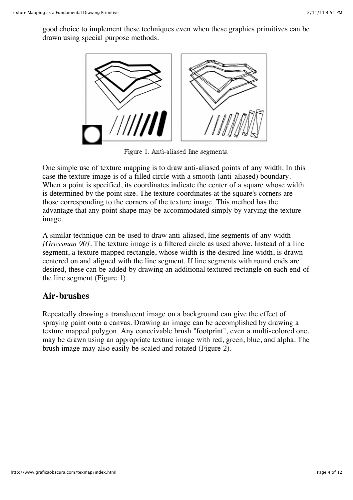good choice to implement these techniques even when these graphics primitives can be drawn using special purpose methods.



Figure 1. Anti-aliased line segments.

One simple use of texture mapping is to draw anti-aliased points of any width. In this case the texture image is of a filled circle with a smooth (anti-aliased) boundary. When a point is specified, its coordinates indicate the center of a square whose width is determined by the point size. The texture coordinates at the square's corners are those corresponding to the corners of the texture image. This method has the advantage that any point shape may be accommodated simply by varying the texture image.

A similar technique can be used to draw anti-aliased, line segments of any width *[Grossman 90]*. The texture image is a filtered circle as used above. Instead of a line segment, a texture mapped rectangle, whose width is the desired line width, is drawn centered on and aligned with the line segment. If line segments with round ends are desired, these can be added by drawing an additional textured rectangle on each end of the line segment (Figure 1).

#### **Air-brushes**

Repeatedly drawing a translucent image on a background can give the effect of spraying paint onto a canvas. Drawing an image can be accomplished by drawing a texture mapped polygon. Any conceivable brush "footprint", even a multi-colored one, may be drawn using an appropriate texture image with red, green, blue, and alpha. The brush image may also easily be scaled and rotated (Figure 2).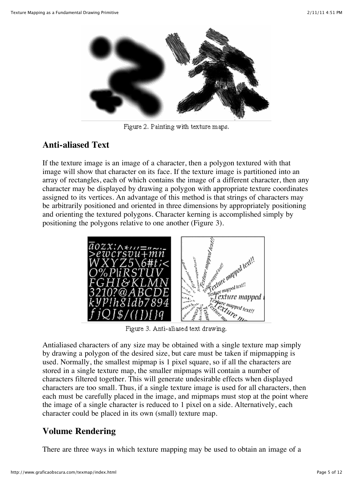

Figure 2. Painting with texture maps.

## **Anti-aliased Text**

If the texture image is an image of a character, then a polygon textured with that image will show that character on its face. If the texture image is partitioned into an array of rectangles, each of which contains the image of a different character, then any character may be displayed by drawing a polygon with appropriate texture coordinates assigned to its vertices. An advantage of this method is that strings of characters may be arbitrarily positioned and oriented in three dimensions by appropriately positioning and orienting the textured polygons. Character kerning is accomplished simply by positioning the polygons relative to one another (Figure 3).



Figure 3. Anti-aliased text drawing.

Antialiased characters of any size may be obtained with a single texture map simply by drawing a polygon of the desired size, but care must be taken if mipmapping is used. Normally, the smallest mipmap is 1 pixel square, so if all the characters are stored in a single texture map, the smaller mipmaps will contain a number of characters filtered together. This will generate undesirable effects when displayed characters are too small. Thus, if a single texture image is used for all characters, then each must be carefully placed in the image, and mipmaps must stop at the point where the image of a single character is reduced to 1 pixel on a side. Alternatively, each character could be placed in its own (small) texture map.

## **Volume Rendering**

There are three ways in which texture mapping may be used to obtain an image of a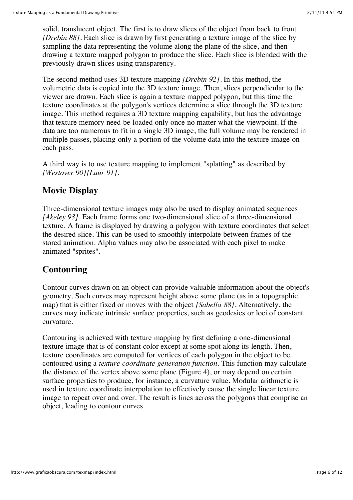solid, translucent object. The first is to draw slices of the object from back to front *[Drebin 88]*. Each slice is drawn by first generating a texture image of the slice by sampling the data representing the volume along the plane of the slice, and then drawing a texture mapped polygon to produce the slice. Each slice is blended with the previously drawn slices using transparency.

The second method uses 3D texture mapping *[Drebin 92]*. In this method, the volumetric data is copied into the 3D texture image. Then, slices perpendicular to the viewer are drawn. Each slice is again a texture mapped polygon, but this time the texture coordinates at the polygon's vertices determine a slice through the 3D texture image. This method requires a 3D texture mapping capability, but has the advantage that texture memory need be loaded only once no matter what the viewpoint. If the data are too numerous to fit in a single 3D image, the full volume may be rendered in multiple passes, placing only a portion of the volume data into the texture image on each pass.

A third way is to use texture mapping to implement "splatting" as described by *[Westover 90][Laur 91]*.

#### **Movie Display**

Three-dimensional texture images may also be used to display animated sequences *[Akeley 93]*. Each frame forms one two-dimensional slice of a three-dimensional texture. A frame is displayed by drawing a polygon with texture coordinates that select the desired slice. This can be used to smoothly interpolate between frames of the stored animation. Alpha values may also be associated with each pixel to make animated "sprites".

### **Contouring**

Contour curves drawn on an object can provide valuable information about the object's geometry. Such curves may represent height above some plane (as in a topographic map) that is either fixed or moves with the object *[Sabella 88]*. Alternatively, the curves may indicate intrinsic surface properties, such as geodesics or loci of constant curvature.

Contouring is achieved with texture mapping by first defining a one-dimensional texture image that is of constant color except at some spot along its length. Then, texture coordinates are computed for vertices of each polygon in the object to be contoured using a *texture coordinate generation function*. This function may calculate the distance of the vertex above some plane (Figure 4), or may depend on certain surface properties to produce, for instance, a curvature value. Modular arithmetic is used in texture coordinate interpolation to effectively cause the single linear texture image to repeat over and over. The result is lines across the polygons that comprise an object, leading to contour curves.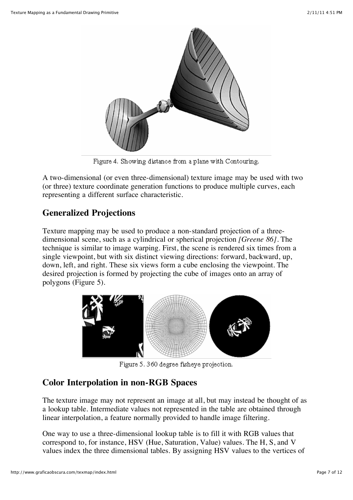

Figure 4. Showing distance from a plane with Contouring.

A two-dimensional (or even three-dimensional) texture image may be used with two (or three) texture coordinate generation functions to produce multiple curves, each representing a different surface characteristic.

### **Generalized Projections**

Texture mapping may be used to produce a non-standard projection of a threedimensional scene, such as a cylindrical or spherical projection *[Greene 86]*. The technique is similar to image warping. First, the scene is rendered six times from a single viewpoint, but with six distinct viewing directions: forward, backward, up, down, left, and right. These six views form a cube enclosing the viewpoint. The desired projection is formed by projecting the cube of images onto an array of polygons (Figure 5).



Figure 5.360 degree fisheye projection.

### **Color Interpolation in non-RGB Spaces**

The texture image may not represent an image at all, but may instead be thought of as a lookup table. Intermediate values not represented in the table are obtained through linear interpolation, a feature normally provided to handle image filtering.

One way to use a three-dimensional lookup table is to fill it with RGB values that correspond to, for instance, HSV (Hue, Saturation, Value) values. The H, S, and V values index the three dimensional tables. By assigning HSV values to the vertices of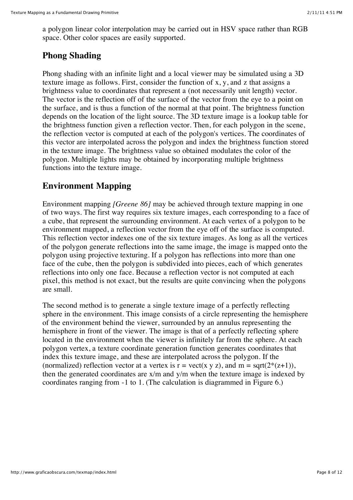a polygon linear color interpolation may be carried out in HSV space rather than RGB space. Other color spaces are easily supported.

### **Phong Shading**

Phong shading with an infinite light and a local viewer may be simulated using a 3D texture image as follows. First, consider the function of x, y, and z that assigns a brightness value to coordinates that represent a (not necessarily unit length) vector. The vector is the reflection off of the surface of the vector from the eye to a point on the surface, and is thus a function of the normal at that point. The brightness function depends on the location of the light source. The 3D texture image is a lookup table for the brightness function given a reflection vector. Then, for each polygon in the scene, the reflection vector is computed at each of the polygon's vertices. The coordinates of this vector are interpolated across the polygon and index the brightness function stored in the texture image. The brightness value so obtained modulates the color of the polygon. Multiple lights may be obtained by incorporating multiple brightness functions into the texture image.

## **Environment Mapping**

Environment mapping *[Greene 86]* may be achieved through texture mapping in one of two ways. The first way requires six texture images, each corresponding to a face of a cube, that represent the surrounding environment. At each vertex of a polygon to be environment mapped, a reflection vector from the eye off of the surface is computed. This reflection vector indexes one of the six texture images. As long as all the vertices of the polygon generate reflections into the same image, the image is mapped onto the polygon using projective texturing. If a polygon has reflections into more than one face of the cube, then the polygon is subdivided into pieces, each of which generates reflections into only one face. Because a reflection vector is not computed at each pixel, this method is not exact, but the results are quite convincing when the polygons are small.

The second method is to generate a single texture image of a perfectly reflecting sphere in the environment. This image consists of a circle representing the hemisphere of the environment behind the viewer, surrounded by an annulus representing the hemisphere in front of the viewer. The image is that of a perfectly reflecting sphere located in the environment when the viewer is infinitely far from the sphere. At each polygon vertex, a texture coordinate generation function generates coordinates that index this texture image, and these are interpolated across the polygon. If the (normalized) reflection vector at a vertex is  $r = \text{vect}(x \vee z)$ , and  $m = \text{sqrt}(2^*(z+1))$ , then the generated coordinates are x/m and y/m when the texture image is indexed by coordinates ranging from -1 to 1. (The calculation is diagrammed in Figure 6.)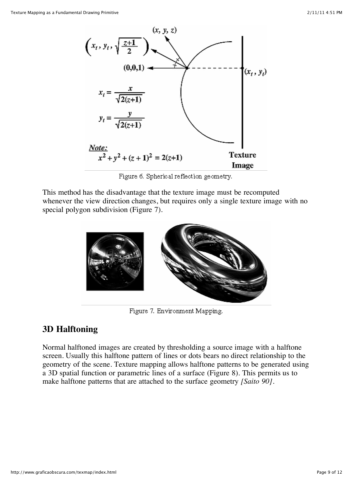

Figure 6. Spherical reflection geometry.

This method has the disadvantage that the texture image must be recomputed whenever the view direction changes, but requires only a single texture image with no special polygon subdivision (Figure 7).



Figure 7. Environment Mapping.

### **3D Halftoning**

Normal halftoned images are created by thresholding a source image with a halftone screen. Usually this halftone pattern of lines or dots bears no direct relationship to the geometry of the scene. Texture mapping allows halftone patterns to be generated using a 3D spatial function or parametric lines of a surface (Figure 8). This permits us to make halftone patterns that are attached to the surface geometry *[Saito 90]*.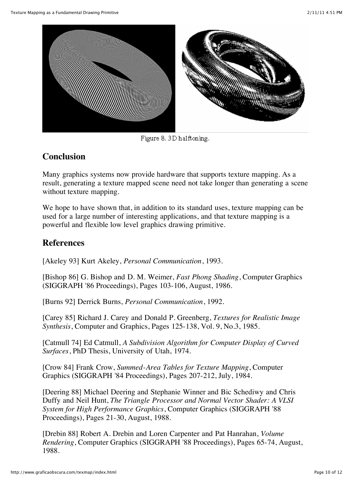

Figure 8.3D halftoning.

## **Conclusion**

Many graphics systems now provide hardware that supports texture mapping. As a result, generating a texture mapped scene need not take longer than generating a scene without texture mapping.

We hope to have shown that, in addition to its standard uses, texture mapping can be used for a large number of interesting applications, and that texture mapping is a powerful and flexible low level graphics drawing primitive.

#### **References**

[Akeley 93] Kurt Akeley, *Personal Communication*, 1993.

[Bishop 86] G. Bishop and D. M. Weimer, *Fast Phong Shading*, Computer Graphics (SIGGRAPH '86 Proceedings), Pages 103-106, August, 1986.

[Burns 92] Derrick Burns, *Personal Communication*, 1992.

[Carey 85] Richard J. Carey and Donald P. Greenberg, *Textures for Realistic Image Synthesis*, Computer and Graphics, Pages 125-138, Vol. 9, No.3, 1985.

[Catmull 74] Ed Catmull, *A Subdivision Algorithm for Computer Display of Curved Surfaces*, PhD Thesis, University of Utah, 1974.

[Crow 84] Frank Crow, *Summed-Area Tables for Texture Mapping*, Computer Graphics (SIGGRAPH '84 Proceedings), Pages 207-212, July, 1984.

[Deering 88] Michael Deering and Stephanie Winner and Bic Schediwy and Chris Duffy and Neil Hunt, *The Triangle Processor and Normal Vector Shader: A VLSI System for High Performance Graphics*, Computer Graphics (SIGGRAPH '88 Proceedings), Pages 21-30, August, 1988.

[Drebin 88] Robert A. Drebin and Loren Carpenter and Pat Hanrahan, *Volume Rendering*, Computer Graphics (SIGGRAPH '88 Proceedings), Pages 65-74, August, 1988.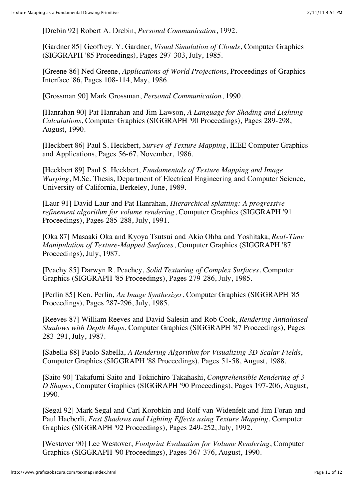[Drebin 92] Robert A. Drebin, *Personal Communication*, 1992.

[Gardner 85] Geoffrey. Y. Gardner, *Visual Simulation of Clouds*, Computer Graphics (SIGGRAPH '85 Proceedings), Pages 297-303, July, 1985.

[Greene 86] Ned Greene, *Applications of World Projections*, Proceedings of Graphics Interface '86, Pages 108-114, May, 1986.

[Grossman 90] Mark Grossman, *Personal Communication*, 1990.

[Hanrahan 90] Pat Hanrahan and Jim Lawson, *A Language for Shading and Lighting Calculations*, Computer Graphics (SIGGRAPH '90 Proceedings), Pages 289-298, August, 1990.

[Heckbert 86] Paul S. Heckbert, *Survey of Texture Mapping*, IEEE Computer Graphics and Applications, Pages 56-67, November, 1986.

[Heckbert 89] Paul S. Heckbert, *Fundamentals of Texture Mapping and Image Warping*, M.Sc. Thesis, Department of Electrical Engineering and Computer Science, University of California, Berkeley, June, 1989.

[Laur 91] David Laur and Pat Hanrahan, *Hierarchical splatting: A progressive refinement algorithm for volume rendering*, Computer Graphics (SIGGRAPH '91 Proceedings), Pages 285-288, July, 1991.

[Oka 87] Masaaki Oka and Kyoya Tsutsui and Akio Ohba and Yoshitaka, *Real-Time Manipulation of Texture-Mapped Surfaces*, Computer Graphics (SIGGRAPH '87 Proceedings), July, 1987.

[Peachy 85] Darwyn R. Peachey, *Solid Texturing of Complex Surfaces*, Computer Graphics (SIGGRAPH '85 Proceedings), Pages 279-286, July, 1985.

[Perlin 85] Ken. Perlin, *An Image Synthesizer*, Computer Graphics (SIGGRAPH '85 Proceedings), Pages 287-296, July, 1985.

[Reeves 87] William Reeves and David Salesin and Rob Cook, *Rendering Antialiased Shadows with Depth Maps*, Computer Graphics (SIGGRAPH '87 Proceedings), Pages 283-291, July, 1987.

[Sabella 88] Paolo Sabella, *A Rendering Algorithm for Visualizing 3D Scalar Fields*, Computer Graphics (SIGGRAPH '88 Proceedings), Pages 51-58, August, 1988.

[Saito 90] Takafumi Saito and Tokiichiro Takahashi, *Comprehensible Rendering of 3- D Shapes*, Computer Graphics (SIGGRAPH '90 Proceedings), Pages 197-206, August, 1990.

[Segal 92] Mark Segal and Carl Korobkin and Rolf van Widenfelt and Jim Foran and Paul Haeberli, *Fast Shadows and Lighting Effects using Texture Mapping*, Computer Graphics (SIGGRAPH '92 Proceedings), Pages 249-252, July, 1992.

[Westover 90] Lee Westover, *Footprint Evaluation for Volume Rendering*, Computer Graphics (SIGGRAPH '90 Proceedings), Pages 367-376, August, 1990.